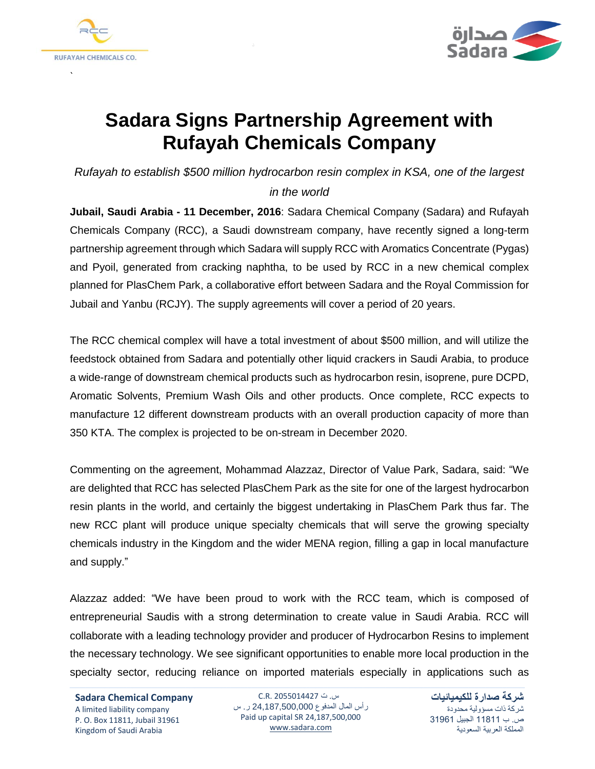

`



## **Sadara Signs Partnership Agreement with Rufayah Chemicals Company**

*Rufayah to establish \$500 million hydrocarbon resin complex in KSA, one of the largest*

## *in the world*

**Jubail, Saudi Arabia - 11 December, 2016**: Sadara Chemical Company (Sadara) and Rufayah Chemicals Company (RCC), a Saudi downstream company, have recently signed a long-term partnership agreement through which Sadara will supply RCC with Aromatics Concentrate (Pygas) and Pyoil, generated from cracking naphtha, to be used by RCC in a new chemical complex planned for PlasChem Park, a collaborative effort between Sadara and the Royal Commission for Jubail and Yanbu (RCJY). The supply agreements will cover a period of 20 years.

The RCC chemical complex will have a total investment of about \$500 million, and will utilize the feedstock obtained from Sadara and potentially other liquid crackers in Saudi Arabia, to produce a wide-range of downstream chemical products such as hydrocarbon resin, isoprene, pure DCPD, Aromatic Solvents, Premium Wash Oils and other products. Once complete, RCC expects to manufacture 12 different downstream products with an overall production capacity of more than 350 KTA. The complex is projected to be on-stream in December 2020.

Commenting on the agreement, Mohammad Alazzaz, Director of Value Park, Sadara, said: "We are delighted that RCC has selected PlasChem Park as the site for one of the largest hydrocarbon resin plants in the world, and certainly the biggest undertaking in PlasChem Park thus far. The new RCC plant will produce unique specialty chemicals that will serve the growing specialty chemicals industry in the Kingdom and the wider MENA region, filling a gap in local manufacture and supply."

Alazzaz added: "We have been proud to work with the RCC team, which is composed of entrepreneurial Saudis with a strong determination to create value in Saudi Arabia. RCC will collaborate with a leading technology provider and producer of Hydrocarbon Resins to implement the necessary technology. We see significant opportunities to enable more local production in the specialty sector, reducing reliance on imported materials especially in applications such as

**Sadara Chemical Company** A limited liability company P. O. Box 11811, Jubail 31961 Kingdom of Saudi Arabia

س. ت 2055014427 .R.C رأس المال المدفوع 24,187,500,000 ر. س Paid up capital SR 24,187,500,000 [www.sadara.com](http://www.sadara.com/)

**شركة صدارة للكيميائيات** شركة ذات مسؤولية محدودة ص. ب 11811 الجبيل 31961 المملكة العربية السعودية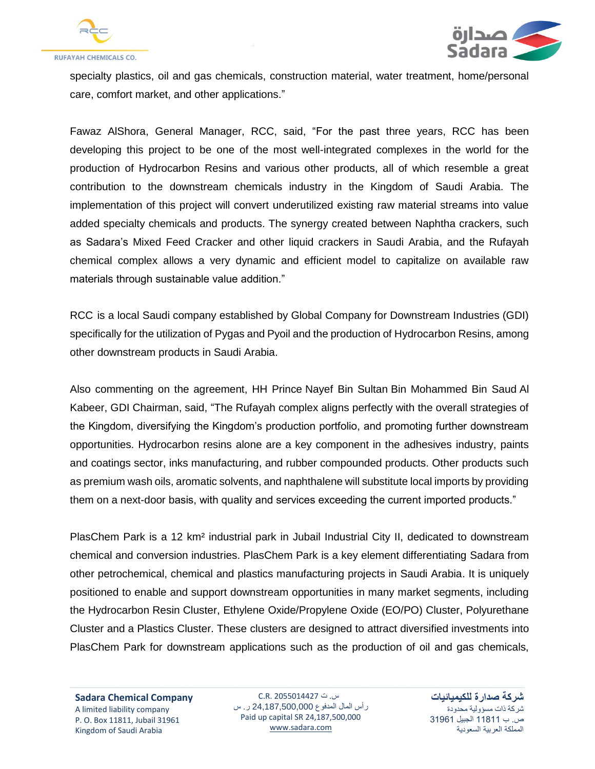



specialty plastics, oil and gas chemicals, construction material, water treatment, home/personal care, comfort market, and other applications."

Fawaz AlShora, General Manager, RCC, said, "For the past three years, RCC has been developing this project to be one of the most well-integrated complexes in the world for the production of Hydrocarbon Resins and various other products, all of which resemble a great contribution to the downstream chemicals industry in the Kingdom of Saudi Arabia. The implementation of this project will convert underutilized existing raw material streams into value added specialty chemicals and products. The synergy created between Naphtha crackers, such as Sadara's Mixed Feed Cracker and other liquid crackers in Saudi Arabia, and the Rufayah chemical complex allows a very dynamic and efficient model to capitalize on available raw materials through sustainable value addition."

RCC is a local Saudi company established by Global Company for Downstream Industries (GDI) specifically for the utilization of Pygas and Pyoil and the production of Hydrocarbon Resins, among other downstream products in Saudi Arabia.

Also commenting on the agreement, HH Prince Nayef Bin Sultan Bin Mohammed Bin Saud Al Kabeer, GDI Chairman, said, "The Rufayah complex aligns perfectly with the overall strategies of the Kingdom, diversifying the Kingdom's production portfolio, and promoting further downstream opportunities. Hydrocarbon resins alone are a key component in the adhesives industry, paints and coatings sector, inks manufacturing, and rubber compounded products. Other products such as premium wash oils, aromatic solvents, and naphthalene will substitute local imports by providing them on a next-door basis, with quality and services exceeding the current imported products."

PlasChem Park is a 12 km² industrial park in Jubail Industrial City II, dedicated to downstream chemical and conversion industries. PlasChem Park is a key element differentiating Sadara from other petrochemical, chemical and plastics manufacturing projects in Saudi Arabia. It is uniquely positioned to enable and support downstream opportunities in many market segments, including the Hydrocarbon Resin Cluster, Ethylene Oxide/Propylene Oxide (EO/PO) Cluster, Polyurethane Cluster and a Plastics Cluster. These clusters are designed to attract diversified investments into PlasChem Park for downstream applications such as the production of oil and gas chemicals,

**Sadara Chemical Company** A limited liability company P. O. Box 11811, Jubail 31961 Kingdom of Saudi Arabia

س. ت 2055014427 .R.C رأس المال المدفوع 24,187,500,000 ر. س Paid up capital SR 24,187,500,000 [www.sadara.com](http://www.sadara.com/)

**شركة صدارة للكيميائيات** شركة ذات مسؤولية محدودة ص. ب 11811 الجبيل 31961 المملكة العربية السعودية